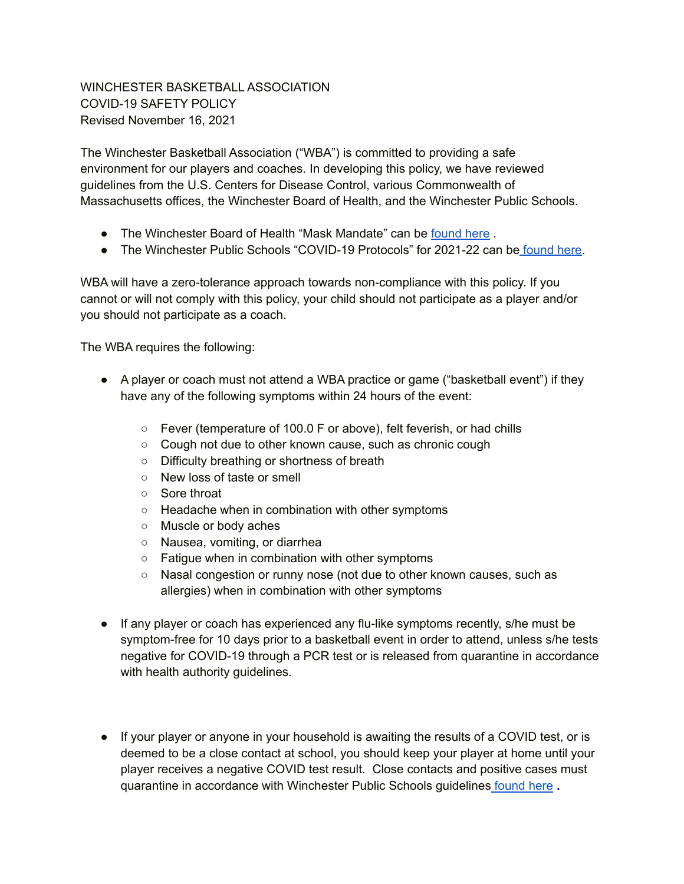## WINCHESTER BASKETBALL ASSOCIATION COVID-19 SAFETY POLICY Revised November 16, 2021

The Winchester Basketball Association ("WBA") is committed to providing a safe environment for our players and coaches. In developing this policy, we have reviewed guidelines from the U.S. Centers for Disease Control, various Commonwealth of Massachusetts offices, the Winchester Board of Health, and the Winchester Public Schools.

- The Winchester Board of Health "Mask Mandate" can be [found](https://www.winchester.us/CivicAlerts.aspx?AID=1150) here.
- The Winchester Public Schools "COVID-19 Protocols" for 2021-22 can be [found](https://sites.google.com/winchesterps.org/sy22/home/covid-19-protocols) here.

WBA will have a zero-tolerance approach towards non-compliance with this policy. If you cannot or will not comply with this policy, your child should not participate as a player and/or you should not participate as a coach.

The WBA requires the following:

- A player or coach must not attend a WBA practice or game ("basketball event") if they have any of the following symptoms within 24 hours of the event:
	- Fever (temperature of 100.0 F or above), felt feverish, or had chills
	- Cough not due to other known cause, such as chronic cough
	- Difficulty breathing or shortness of breath
	- New loss of taste or smell
	- Sore throat
	- Headache when in combination with other symptoms
	- Muscle or body aches
	- Nausea, vomiting, or diarrhea
	- Fatigue when in combination with other symptoms
	- Nasal congestion or runny nose (not due to other known causes, such as allergies) when in combination with other symptoms
- If any player or coach has experienced any flu-like symptoms recently, s/he must be symptom-free for 10 days prior to a basketball event in order to attend, unless s/he tests negative for COVID-19 through a PCR test or is released from quarantine in accordance with health authority guidelines.
- If your player or anyone in your household is awaiting the results of a COVID test, or is deemed to be a close contact at school, you should keep your player at home until your player receives a negative COVID test result. Close contacts and positive cases must quarantine in accordance with Winchester Public Schools guidelines [found](https://sites.google.com/winchesterps.org/sy22/home/covid-19-protocols) here **.**